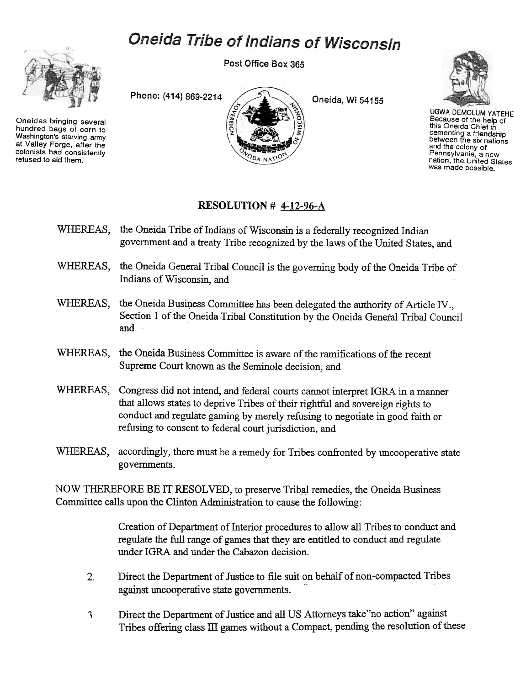## Oneida Tribe of Indians of Wisconsin



Oneidas bringing several hundred bags of corn to Washington's starving army at Valley Forge, after the colonists had consistently refused to aid them.

Post Office Box 365





UGWADEMOLUM YATEHE Because of the help of this Oneida Chief in cementing a friendship<br>between the six nation and the colony of Pennsylvania, a new nation, the United States was made possible.

## RESOLUTION # 4-12-96-A

- WHEREAS, the Oneida Tribe of Indians of Wisconsin is a federally recognized Indian government and a treaty Tribe recognized by the laws of the United States, and
- WHEREAS, the Oneida General Tribal Council is the governing body of the Oneida Tribe of Indians of Wisconsin, and
- WHEREAS, the Oneida Business Committee has been delegated the authority of Article IV., Section 1 of the Oneida Tribal Constitution by the Oneida General Tribal Council and
- WHEREAS, the Oneida Business Committee is aware of the ramifications of the recent Supreme Court known as the Seminole decision, and
- WHEREAS, Congress did not intend, and federal courts cannot interpret IGRA in a manner that allows states to deprive Tribes of their rightful and sovereign rights to conduct and regulate gaming by merely refusing to negotiate in good faith or refusing to consent to federal court jurisdiction, and
- WHEREAS, accordingly, there must be a remedy for Tribes confronted by uncooperative state governments.

NOW THEREFORE BE IT RESOLVED, to preserve Tribal remedies, the Oneida Business Committee calls upon the Clinton Administration to cause the following:

> Creation of Department of Interior procedures to allow all Tribes to conduct and regulate the full range of games that they are entitled to conduct and regulate under IGRA and under the Cabazon decision.

- $\overline{2}$ . Direct the Department of Justice to file suit on behalf of non-compacted Tribes against uncooperative state governments.
- Direct the Department of Justice and all US Attorneys take"no action" against Tribes offering class III games without a Compact, pending the resolution of these 3